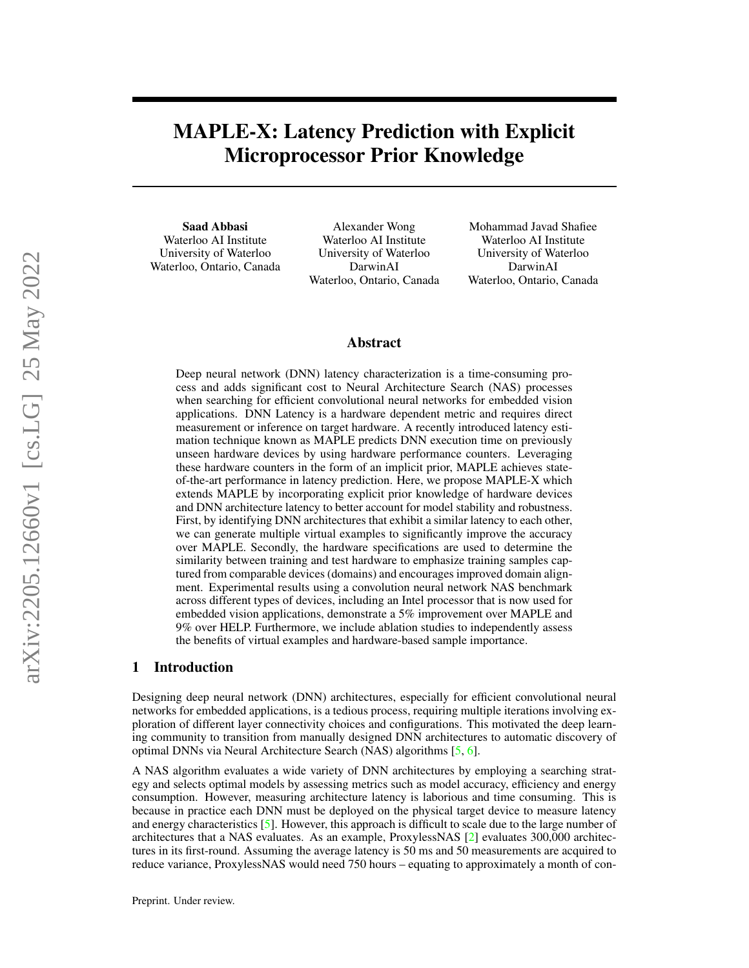# <span id="page-0-0"></span>MAPLE-X: Latency Prediction with Explicit Microprocessor Prior Knowledge

Saad Abbasi Waterloo AI Institute University of Waterloo Waterloo, Ontario, Canada

Alexander Wong Waterloo AI Institute University of Waterloo DarwinAI Waterloo, Ontario, Canada

Mohammad Javad Shafiee Waterloo AI Institute University of Waterloo DarwinAI Waterloo, Ontario, Canada

## Abstract

Deep neural network (DNN) latency characterization is a time-consuming process and adds significant cost to Neural Architecture Search (NAS) processes when searching for efficient convolutional neural networks for embedded vision applications. DNN Latency is a hardware dependent metric and requires direct measurement or inference on target hardware. A recently introduced latency estimation technique known as MAPLE predicts DNN execution time on previously unseen hardware devices by using hardware performance counters. Leveraging these hardware counters in the form of an implicit prior, MAPLE achieves stateof-the-art performance in latency prediction. Here, we propose MAPLE-X which extends MAPLE by incorporating explicit prior knowledge of hardware devices and DNN architecture latency to better account for model stability and robustness. First, by identifying DNN architectures that exhibit a similar latency to each other, we can generate multiple virtual examples to significantly improve the accuracy over MAPLE. Secondly, the hardware specifications are used to determine the similarity between training and test hardware to emphasize training samples captured from comparable devices (domains) and encourages improved domain alignment. Experimental results using a convolution neural network NAS benchmark across different types of devices, including an Intel processor that is now used for embedded vision applications, demonstrate a 5% improvement over MAPLE and 9% over HELP. Furthermore, we include ablation studies to independently assess the benefits of virtual examples and hardware-based sample importance.

## 1 Introduction

Designing deep neural network (DNN) architectures, especially for efficient convolutional neural networks for embedded applications, is a tedious process, requiring multiple iterations involving exploration of different layer connectivity choices and configurations. This motivated the deep learning community to transition from manually designed DNN architectures to automatic discovery of optimal DNNs via Neural Architecture Search (NAS) algorithms [\[5,](#page-5-0) [6\]](#page-5-1).

A NAS algorithm evaluates a wide variety of DNN architectures by employing a searching strategy and selects optimal models by assessing metrics such as model accuracy, efficiency and energy consumption. However, measuring architecture latency is laborious and time consuming. This is because in practice each DNN must be deployed on the physical target device to measure latency and energy characteristics [\[5\]](#page-5-0). However, this approach is difficult to scale due to the large number of architectures that a NAS evaluates. As an example, ProxylessNAS [\[2\]](#page-5-2) evaluates 300,000 architectures in its first-round. Assuming the average latency is 50 ms and 50 measurements are acquired to reduce variance, ProxylessNAS would need 750 hours – equating to approximately a month of con-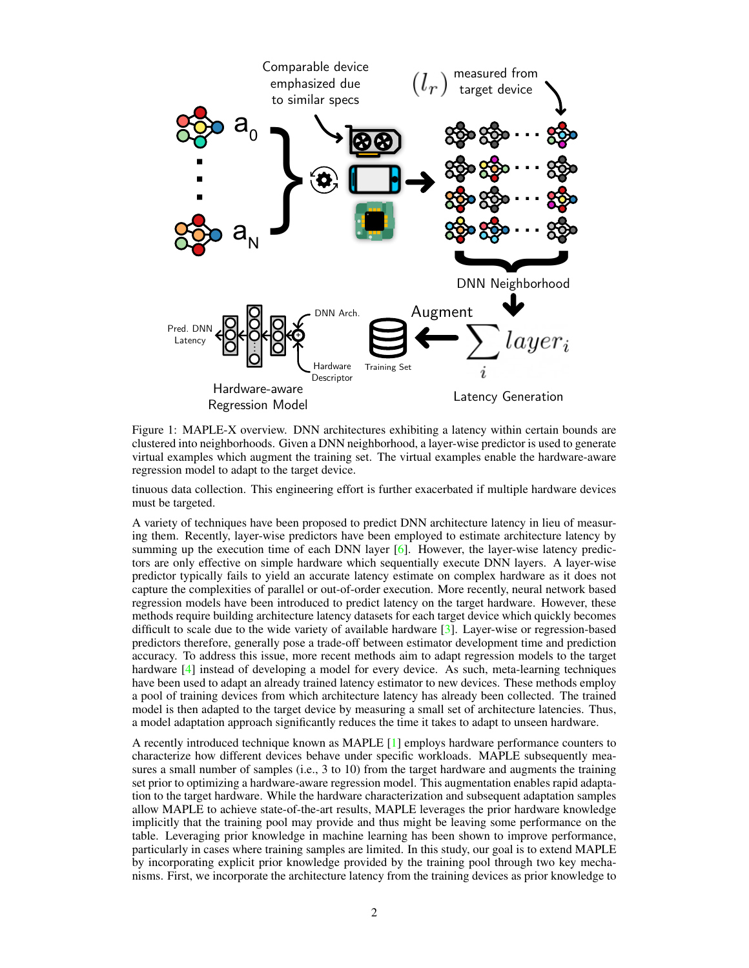<span id="page-1-0"></span>

Figure 1: MAPLE-X overview. DNN architectures exhibiting a latency within certain bounds are clustered into neighborhoods. Given a DNN neighborhood, a layer-wise predictor is used to generate virtual examples which augment the training set. The virtual examples enable the hardware-aware regression model to adapt to the target device.

tinuous data collection. This engineering effort is further exacerbated if multiple hardware devices must be targeted.

A variety of techniques have been proposed to predict DNN architecture latency in lieu of measuring them. Recently, layer-wise predictors have been employed to estimate architecture latency by summing up the execution time of each DNN layer [\[6\]](#page-5-1). However, the layer-wise latency predictors are only effective on simple hardware which sequentially execute DNN layers. A layer-wise predictor typically fails to yield an accurate latency estimate on complex hardware as it does not capture the complexities of parallel or out-of-order execution. More recently, neural network based regression models have been introduced to predict latency on the target hardware. However, these methods require building architecture latency datasets for each target device which quickly becomes difficult to scale due to the wide variety of available hardware [\[3\]](#page-5-3). Layer-wise or regression-based predictors therefore, generally pose a trade-off between estimator development time and prediction accuracy. To address this issue, more recent methods aim to adapt regression models to the target hardware [\[4\]](#page-5-4) instead of developing a model for every device. As such, meta-learning techniques have been used to adapt an already trained latency estimator to new devices. These methods employ a pool of training devices from which architecture latency has already been collected. The trained model is then adapted to the target device by measuring a small set of architecture latencies. Thus, a model adaptation approach significantly reduces the time it takes to adapt to unseen hardware.

A recently introduced technique known as MAPLE [\[1\]](#page-5-5) employs hardware performance counters to characterize how different devices behave under specific workloads. MAPLE subsequently measures a small number of samples (i.e., 3 to 10) from the target hardware and augments the training set prior to optimizing a hardware-aware regression model. This augmentation enables rapid adaptation to the target hardware. While the hardware characterization and subsequent adaptation samples allow MAPLE to achieve state-of-the-art results, MAPLE leverages the prior hardware knowledge implicitly that the training pool may provide and thus might be leaving some performance on the table. Leveraging prior knowledge in machine learning has been shown to improve performance, particularly in cases where training samples are limited. In this study, our goal is to extend MAPLE by incorporating explicit prior knowledge provided by the training pool through two key mechanisms. First, we incorporate the architecture latency from the training devices as prior knowledge to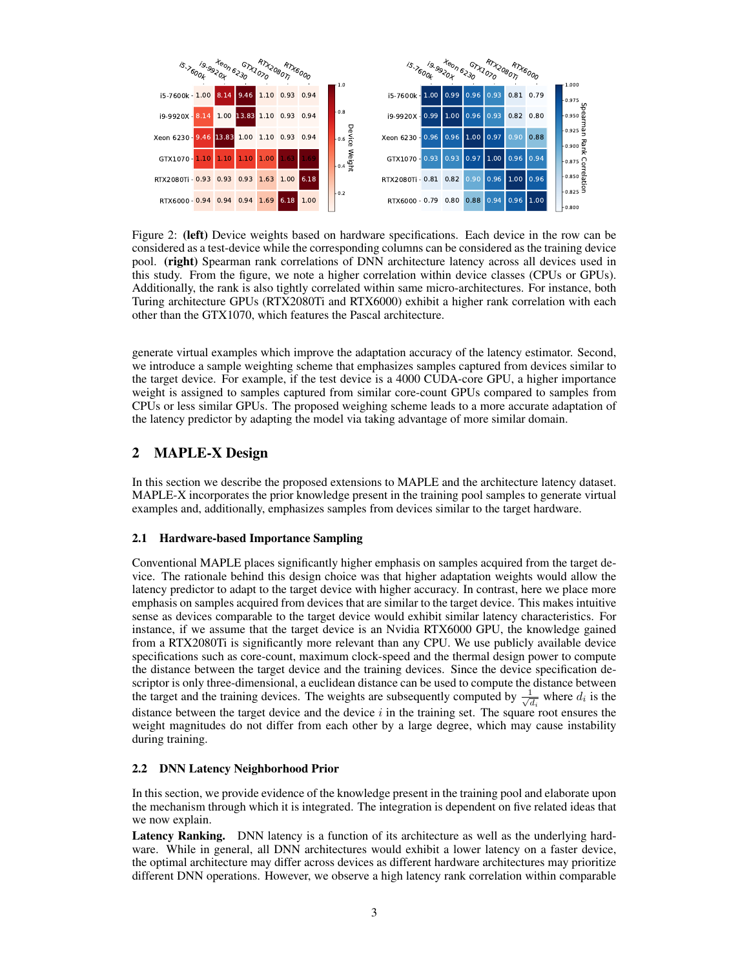

<span id="page-2-0"></span>Figure 2: (left) Device weights based on hardware specifications. Each device in the row can be considered as a test-device while the corresponding columns can be considered as the training device pool. (right) Spearman rank correlations of DNN architecture latency across all devices used in this study. From the figure, we note a higher correlation within device classes (CPUs or GPUs). Additionally, the rank is also tightly correlated within same micro-architectures. For instance, both Turing architecture GPUs (RTX2080Ti and RTX6000) exhibit a higher rank correlation with each other than the GTX1070, which features the Pascal architecture.

generate virtual examples which improve the adaptation accuracy of the latency estimator. Second, we introduce a sample weighting scheme that emphasizes samples captured from devices similar to the target device. For example, if the test device is a 4000 CUDA-core GPU, a higher importance weight is assigned to samples captured from similar core-count GPUs compared to samples from CPUs or less similar GPUs. The proposed weighing scheme leads to a more accurate adaptation of the latency predictor by adapting the model via taking advantage of more similar domain.

# 2 MAPLE-X Design

In this section we describe the proposed extensions to MAPLE and the architecture latency dataset. MAPLE-X incorporates the prior knowledge present in the training pool samples to generate virtual examples and, additionally, emphasizes samples from devices similar to the target hardware.

## 2.1 Hardware-based Importance Sampling

Conventional MAPLE places significantly higher emphasis on samples acquired from the target device. The rationale behind this design choice was that higher adaptation weights would allow the latency predictor to adapt to the target device with higher accuracy. In contrast, here we place more emphasis on samples acquired from devices that are similar to the target device. This makes intuitive sense as devices comparable to the target device would exhibit similar latency characteristics. For instance, if we assume that the target device is an Nvidia RTX6000 GPU, the knowledge gained from a RTX2080Ti is significantly more relevant than any CPU. We use publicly available device specifications such as core-count, maximum clock-speed and the thermal design power to compute the distance between the target device and the training devices. Since the device specification descriptor is only three-dimensional, a euclidean distance can be used to compute the distance between the target and the training devices. The weights are subsequently computed by  $\frac{1}{\sqrt{2}}$  $\frac{1}{d_i}$  where  $d_i$  is the distance between the target device and the device  $i$  in the training set. The square root ensures the weight magnitudes do not differ from each other by a large degree, which may cause instability during training.

#### 2.2 DNN Latency Neighborhood Prior

In this section, we provide evidence of the knowledge present in the training pool and elaborate upon the mechanism through which it is integrated. The integration is dependent on five related ideas that we now explain.

Latency Ranking. DNN latency is a function of its architecture as well as the underlying hardware. While in general, all DNN architectures would exhibit a lower latency on a faster device, the optimal architecture may differ across devices as different hardware architectures may prioritize different DNN operations. However, we observe a high latency rank correlation within comparable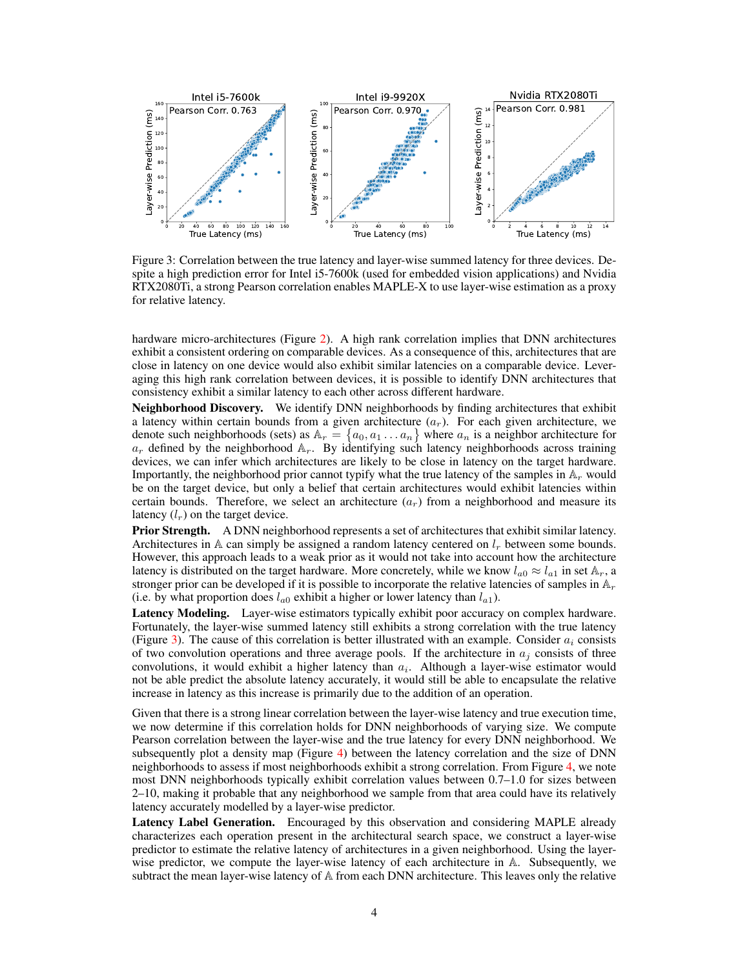

<span id="page-3-0"></span>Figure 3: Correlation between the true latency and layer-wise summed latency for three devices. Despite a high prediction error for Intel i5-7600k (used for embedded vision applications) and Nvidia RTX2080Ti, a strong Pearson correlation enables MAPLE-X to use layer-wise estimation as a proxy for relative latency.

hardware micro-architectures (Figure [2\)](#page-2-0). A high rank correlation implies that DNN architectures exhibit a consistent ordering on comparable devices. As a consequence of this, architectures that are close in latency on one device would also exhibit similar latencies on a comparable device. Leveraging this high rank correlation between devices, it is possible to identify DNN architectures that consistency exhibit a similar latency to each other across different hardware.

Neighborhood Discovery. We identify DNN neighborhoods by finding architectures that exhibit a latency within certain bounds from a given architecture  $(a<sub>r</sub>)$ . For each given architecture, we denote such neighborhoods (sets) as  $\mathbb{A}_r = \{a_0, a_1 \dots a_n\}$  where  $a_n$  is a neighbor architecture for  $a_r$  defined by the neighborhood  $A_r$ . By identifying such latency neighborhoods across training devices, we can infer which architectures are likely to be close in latency on the target hardware. Importantly, the neighborhood prior cannot typify what the true latency of the samples in  $A_r$  would be on the target device, but only a belief that certain architectures would exhibit latencies within certain bounds. Therefore, we select an architecture  $(a<sub>r</sub>)$  from a neighborhood and measure its latency  $(l_r)$  on the target device.

Prior Strength. A DNN neighborhood represents a set of architectures that exhibit similar latency. Architectures in  $A$  can simply be assigned a random latency centered on  $l_r$  between some bounds. However, this approach leads to a weak prior as it would not take into account how the architecture latency is distributed on the target hardware. More concretely, while we know  $l_{a0} \approx l_{a1}$  in set  $\mathbb{A}_r$ , a stronger prior can be developed if it is possible to incorporate the relative latencies of samples in  $\mathbb{A}_r$ (i.e. by what proportion does  $l_{a0}$  exhibit a higher or lower latency than  $l_{a1}$ ).

Latency Modeling. Layer-wise estimators typically exhibit poor accuracy on complex hardware. Fortunately, the layer-wise summed latency still exhibits a strong correlation with the true latency (Figure [3\)](#page-3-0). The cause of this correlation is better illustrated with an example. Consider  $a_i$  consists of two convolution operations and three average pools. If the architecture in  $a_i$  consists of three convolutions, it would exhibit a higher latency than  $a_i$ . Although a layer-wise estimator would not be able predict the absolute latency accurately, it would still be able to encapsulate the relative increase in latency as this increase is primarily due to the addition of an operation.

Given that there is a strong linear correlation between the layer-wise latency and true execution time, we now determine if this correlation holds for DNN neighborhoods of varying size. We compute Pearson correlation between the layer-wise and the true latency for every DNN neighborhood. We subsequently plot a density map (Figure [4\)](#page-4-0) between the latency correlation and the size of DNN neighborhoods to assess if most neighborhoods exhibit a strong correlation. From Figure [4,](#page-4-0) we note most DNN neighborhoods typically exhibit correlation values between 0.7–1.0 for sizes between 2–10, making it probable that any neighborhood we sample from that area could have its relatively latency accurately modelled by a layer-wise predictor.

Latency Label Generation. Encouraged by this observation and considering MAPLE already characterizes each operation present in the architectural search space, we construct a layer-wise predictor to estimate the relative latency of architectures in a given neighborhood. Using the layerwise predictor, we compute the layer-wise latency of each architecture in A. Subsequently, we subtract the mean layer-wise latency of A from each DNN architecture. This leaves only the relative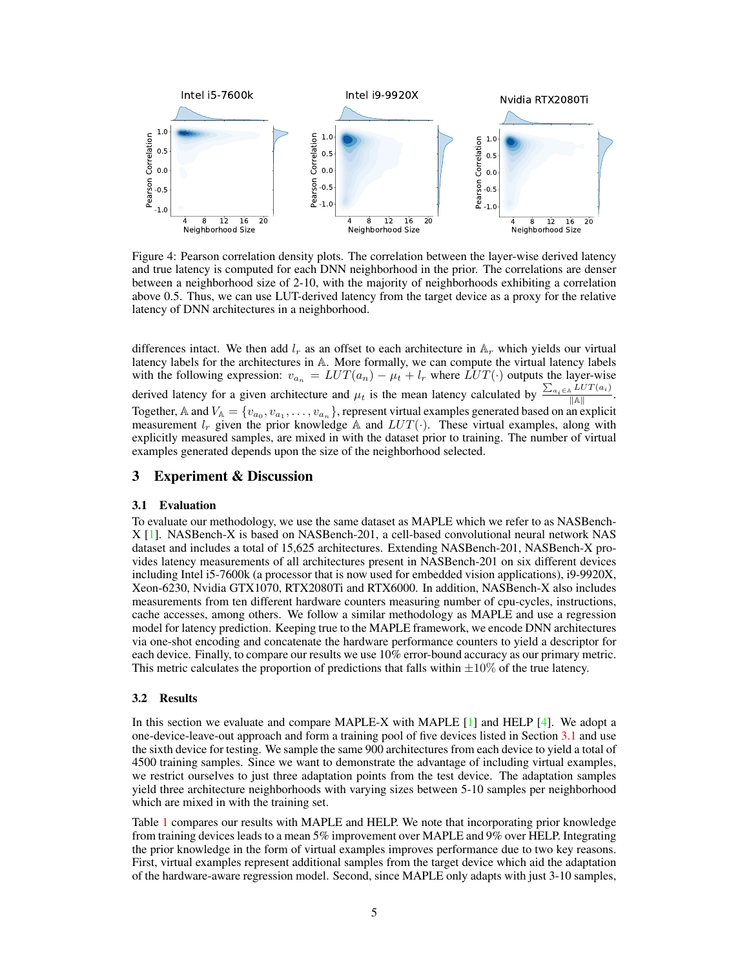<span id="page-4-2"></span>

<span id="page-4-0"></span>Figure 4: Pearson correlation density plots. The correlation between the layer-wise derived latency and true latency is computed for each DNN neighborhood in the prior. The correlations are denser between a neighborhood size of 2-10, with the majority of neighborhoods exhibiting a correlation above 0.5. Thus, we can use LUT-derived latency from the target device as a proxy for the relative latency of DNN architectures in a neighborhood.

differences intact. We then add  $l_r$  as an offset to each architecture in  $A_r$  which yields our virtual latency labels for the architectures in A. More formally, we can compute the virtual latency labels with the following expression:  $v_{a_n} = LUT(a_n) - \mu_t + l_r$  where  $LUT(\cdot)$  outputs the layer-wise derived latency for a given architecture and  $\mu_t$  is the mean latency calculated by  $\frac{\sum_{a_i \in A} LUT(a_i)}{\|A\|}$ . Together, A and  $V_A = \{v_{a_0}, v_{a_1}, \dots, v_{a_n}\}\$ , represent virtual examples generated based on an explicit measurement  $l_r$  given the prior knowledge A and  $LUT(\cdot)$ . These virtual examples, along with explicitly measured samples, are mixed in with the dataset prior to training. The number of virtual examples generated depends upon the size of the neighborhood selected.

#### 3 Experiment & Discussion

#### <span id="page-4-1"></span>3.1 Evaluation

To evaluate our methodology, we use the same dataset as MAPLE which we refer to as NASBench-X [\[1\]](#page-5-5). NASBench-X is based on NASBench-201, a cell-based convolutional neural network NAS dataset and includes a total of 15,625 architectures. Extending NASBench-201, NASBench-X provides latency measurements of all architectures present in NASBench-201 on six different devices including Intel i5-7600k (a processor that is now used for embedded vision applications), i9-9920X, Xeon-6230, Nvidia GTX1070, RTX2080Ti and RTX6000. In addition, NASBench-X also includes measurements from ten different hardware counters measuring number of cpu-cycles, instructions, cache accesses, among others. We follow a similar methodology as MAPLE and use a regression model for latency prediction. Keeping true to the MAPLE framework, we encode DNN architectures via one-shot encoding and concatenate the hardware performance counters to yield a descriptor for each device. Finally, to compare our results we use 10% error-bound accuracy as our primary metric. This metric calculates the proportion of predictions that falls within  $\pm 10\%$  of the true latency.

#### 3.2 Results

In this section we evaluate and compare MAPLE-X with MAPLE [\[1\]](#page-5-5) and HELP [\[4\]](#page-5-4). We adopt a one-device-leave-out approach and form a training pool of five devices listed in Section [3.1](#page-4-1) and use the sixth device for testing. We sample the same 900 architectures from each device to yield a total of 4500 training samples. Since we want to demonstrate the advantage of including virtual examples, we restrict ourselves to just three adaptation points from the test device. The adaptation samples yield three architecture neighborhoods with varying sizes between 5-10 samples per neighborhood which are mixed in with the training set.

Table [1](#page-5-6) compares our results with MAPLE and HELP. We note that incorporating prior knowledge from training devices leads to a mean 5% improvement over MAPLE and 9% over HELP. Integrating the prior knowledge in the form of virtual examples improves performance due to two key reasons. First, virtual examples represent additional samples from the target device which aid the adaptation of the hardware-aware regression model. Second, since MAPLE only adapts with just 3-10 samples,